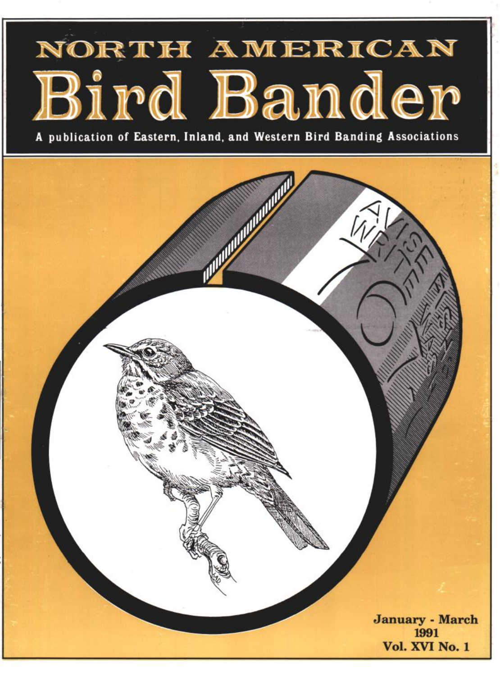# NORTH AMERICAN Bird Bander

**A publication of Eastern, Inland, and Western Bird Banding Associations**